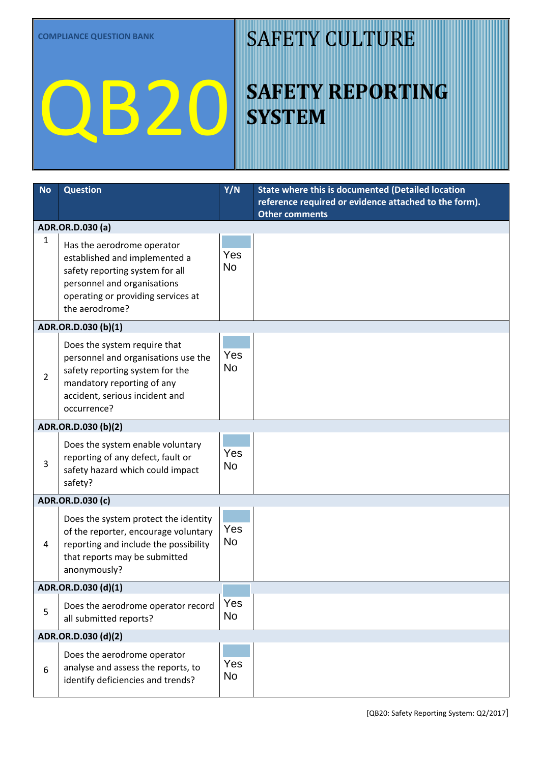**COMPLIANCE QUESTION BANK**

## QB20

#### SAFETY CULTURE

## **SAFETY REPORTING SYSTEM**

| <b>No</b>           | <b>Question</b>                                                                                                                                                                       | Y/N                   | <b>State where this is documented (Detailed location</b>                       |  |  |  |  |
|---------------------|---------------------------------------------------------------------------------------------------------------------------------------------------------------------------------------|-----------------------|--------------------------------------------------------------------------------|--|--|--|--|
|                     |                                                                                                                                                                                       |                       | reference required or evidence attached to the form).<br><b>Other comments</b> |  |  |  |  |
|                     | ADR.OR.D.030 (a)                                                                                                                                                                      |                       |                                                                                |  |  |  |  |
| 1                   | Has the aerodrome operator<br>established and implemented a<br>safety reporting system for all<br>personnel and organisations<br>operating or providing services at<br>the aerodrome? | Yes<br><b>No</b>      |                                                                                |  |  |  |  |
|                     | ADR.OR.D.030 (b)(1)                                                                                                                                                                   |                       |                                                                                |  |  |  |  |
| $\overline{2}$      | Does the system require that<br>personnel and organisations use the<br>safety reporting system for the<br>mandatory reporting of any<br>accident, serious incident and<br>occurrence? | Yes<br><b>No</b>      |                                                                                |  |  |  |  |
|                     | ADR.OR.D.030 (b)(2)                                                                                                                                                                   |                       |                                                                                |  |  |  |  |
| 3                   | Does the system enable voluntary<br>reporting of any defect, fault or<br>safety hazard which could impact<br>safety?                                                                  | Yes<br><b>No</b>      |                                                                                |  |  |  |  |
|                     | ADR.OR.D.030 (c)                                                                                                                                                                      |                       |                                                                                |  |  |  |  |
| 4                   | Does the system protect the identity<br>of the reporter, encourage voluntary<br>reporting and include the possibility<br>that reports may be submitted<br>anonymously?                | Yes<br><b>No</b>      |                                                                                |  |  |  |  |
|                     | ADR.OR.D.030 (d)(1)                                                                                                                                                                   |                       |                                                                                |  |  |  |  |
| 5                   | Does the aerodrome operator record<br>all submitted reports?                                                                                                                          | Yes<br><b>No</b>      |                                                                                |  |  |  |  |
| ADR.OR.D.030 (d)(2) |                                                                                                                                                                                       |                       |                                                                                |  |  |  |  |
| 6                   | Does the aerodrome operator<br>analyse and assess the reports, to<br>identify deficiencies and trends?                                                                                | Yes<br>N <sub>o</sub> |                                                                                |  |  |  |  |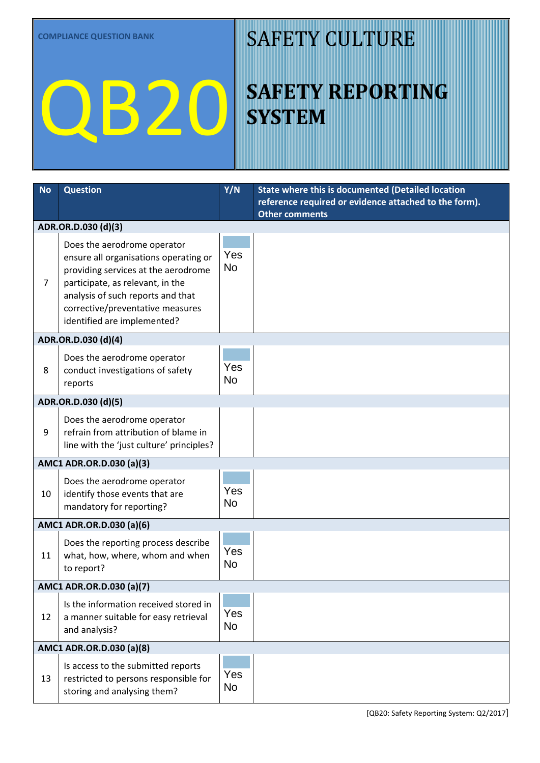**COMPLIANCE QUESTION BANK**

# QB20

#### SAFETY CULTURE

## **SAFETY REPORTING SYSTEM**

| <b>No</b>           | <b>Question</b>                                                      | Y/N       | State where this is documented (Detailed location     |  |  |  |
|---------------------|----------------------------------------------------------------------|-----------|-------------------------------------------------------|--|--|--|
|                     |                                                                      |           | reference required or evidence attached to the form). |  |  |  |
|                     | ADR.OR.D.030 (d)(3)                                                  |           | <b>Other comments</b>                                 |  |  |  |
|                     |                                                                      |           |                                                       |  |  |  |
|                     | Does the aerodrome operator<br>ensure all organisations operating or | Yes       |                                                       |  |  |  |
|                     | providing services at the aerodrome                                  | <b>No</b> |                                                       |  |  |  |
| $\overline{7}$      | participate, as relevant, in the                                     |           |                                                       |  |  |  |
|                     | analysis of such reports and that                                    |           |                                                       |  |  |  |
|                     | corrective/preventative measures<br>identified are implemented?      |           |                                                       |  |  |  |
|                     |                                                                      |           |                                                       |  |  |  |
| ADR.OR.D.030 (d)(4) |                                                                      |           |                                                       |  |  |  |
|                     | Does the aerodrome operator                                          | Yes       |                                                       |  |  |  |
| 8                   | conduct investigations of safety                                     | <b>No</b> |                                                       |  |  |  |
|                     | reports                                                              |           |                                                       |  |  |  |
|                     | ADR.OR.D.030 (d)(5)                                                  |           |                                                       |  |  |  |
|                     | Does the aerodrome operator                                          | Yes       |                                                       |  |  |  |
| 9                   | refrain from attribution of blame in                                 | <b>No</b> |                                                       |  |  |  |
|                     | line with the 'just culture' principles?                             |           |                                                       |  |  |  |
|                     | AMC1 ADR.OR.D.030 (a)(3)                                             |           |                                                       |  |  |  |
|                     | Does the aerodrome operator                                          | Yes       |                                                       |  |  |  |
| 10                  | identify those events that are                                       | <b>No</b> |                                                       |  |  |  |
|                     | mandatory for reporting?                                             |           |                                                       |  |  |  |
|                     | AMC1 ADR.OR.D.030 (a)(6)                                             |           |                                                       |  |  |  |
|                     | Does the reporting process describe                                  | Yes       |                                                       |  |  |  |
| 11                  | what, how, where, whom and when                                      | <b>No</b> |                                                       |  |  |  |
| to report?          |                                                                      |           |                                                       |  |  |  |
|                     | AMC1 ADR.OR.D.030 (a)(7)                                             |           |                                                       |  |  |  |
|                     | Is the information received stored in                                | Yes       |                                                       |  |  |  |
| 12                  | a manner suitable for easy retrieval<br>and analysis?                | <b>No</b> |                                                       |  |  |  |
|                     |                                                                      |           |                                                       |  |  |  |
|                     | AMC1 ADR.OR.D.030 (a)(8)                                             |           |                                                       |  |  |  |
|                     | Is access to the submitted reports                                   | Yes       |                                                       |  |  |  |
| 13                  | restricted to persons responsible for<br>storing and analysing them? | <b>No</b> |                                                       |  |  |  |
|                     |                                                                      |           |                                                       |  |  |  |

[QB20: Safety Reporting System: Q2/2017]